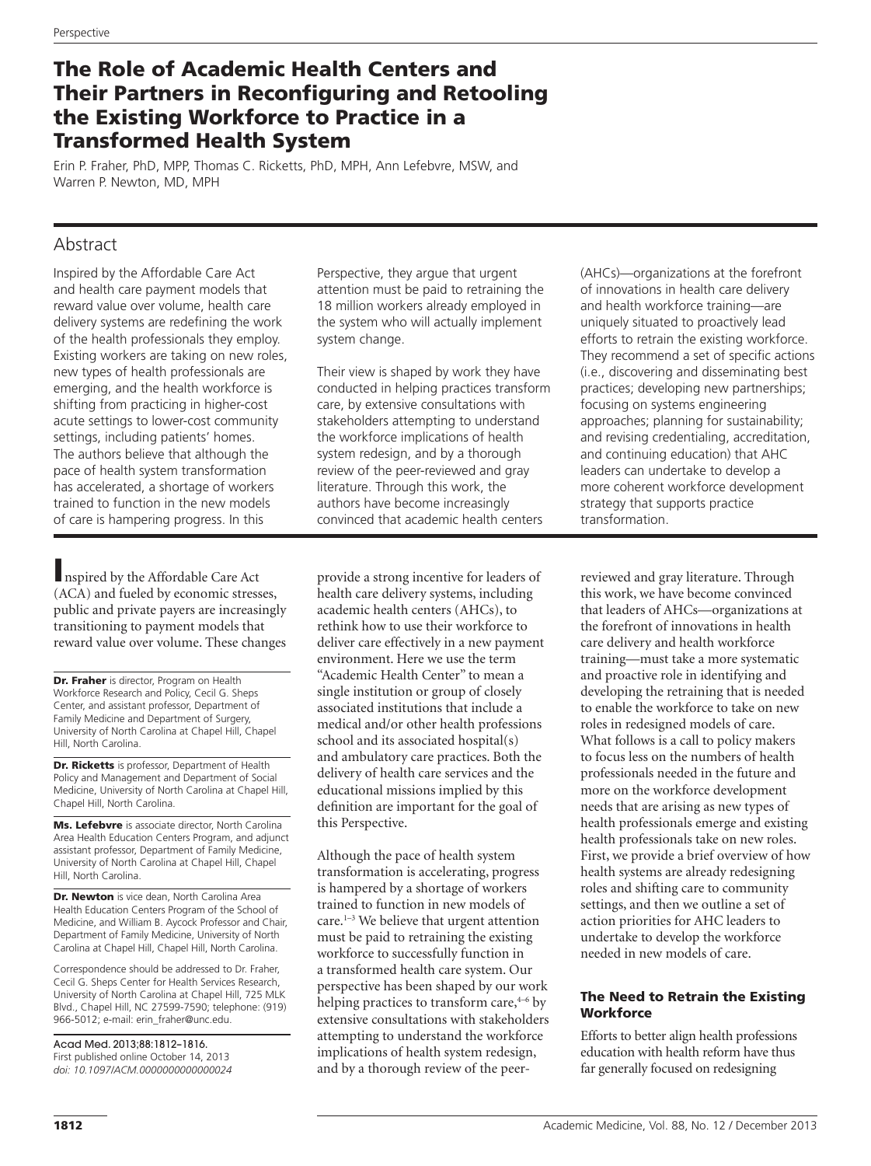# The Role of Academic Health Centers and Their Partners in Reconfiguring and Retooling the Existing Workforce to Practice in a Transformed Health System

Erin P. Fraher, PhD, MPP, Thomas C. Ricketts, PhD, MPH, Ann Lefebvre, MSW, and Warren P. Newton, MD, MPH

# Abstract

Inspired by the Affordable Care Act and health care payment models that reward value over volume, health care delivery systems are redefining the work of the health professionals they employ. Existing workers are taking on new roles, new types of health professionals are emerging, and the health workforce is shifting from practicing in higher-cost acute settings to lower-cost community settings, including patients' homes. The authors believe that although the pace of health system transformation has accelerated, a shortage of workers trained to function in the new models of care is hampering progress. In this

Inspired by the Affordable Care Act (ACA) and fueled by economic stresses, public and private payers are increasingly transitioning to payment models that reward value over volume. These changes

Dr. Fraher is director, Program on Health Workforce Research and Policy, Cecil G. Sheps Center, and assistant professor, Department of Family Medicine and Department of Surgery, University of North Carolina at Chapel Hill, Chapel Hill, North Carolina.

Dr. Ricketts is professor, Department of Health Policy and Management and Department of Social Medicine, University of North Carolina at Chapel Hill, Chapel Hill, North Carolina.

**Ms. Lefebvre** is associate director. North Carolina Area Health Education Centers Program, and adjunct assistant professor, Department of Family Medicine, University of North Carolina at Chapel Hill, Chapel Hill, North Carolina.

Dr. Newton is vice dean, North Carolina Area Health Education Centers Program of the School of Medicine, and William B. Aycock Professor and Chair, Department of Family Medicine, University of North Carolina at Chapel Hill, Chapel Hill, North Carolina.

Correspondence should be addressed to Dr. Fraher, Cecil G. Sheps Center for Health Services Research, University of North Carolina at Chapel Hill, 725 MLK Blvd., Chapel Hill, NC 27599-7590; telephone: (919) 966-5012; e-mail: [erin\\_fraher@unc.edu](mailto:erin_fraher@unc.edu).

Acad Med. 2013;88:1812–1816. First published online October 14, 2013 *doi: 10.1097/ACM.0000000000000024* Perspective, they argue that urgent attention must be paid to retraining the 18 million workers already employed in the system who will actually implement system change.

Their view is shaped by work they have conducted in helping practices transform care, by extensive consultations with stakeholders attempting to understand the workforce implications of health system redesign, and by a thorough review of the peer-reviewed and gray literature. Through this work, the authors have become increasingly convinced that academic health centers

provide a strong incentive for leaders of health care delivery systems, including academic health centers (AHCs), to rethink how to use their workforce to deliver care effectively in a new payment environment. Here we use the term "Academic Health Center" to mean a single institution or group of closely associated institutions that include a medical and/or other health professions school and its associated hospital(s) and ambulatory care practices. Both the delivery of health care services and the educational missions implied by this definition are important for the goal of this Perspective.

Although the pace of health system transformation is accelerating, progress is hampered by a shortage of workers trained to function in new models of care.1–3 We believe that urgent attention must be paid to retraining the existing workforce to successfully function in a transformed health care system. Our perspective has been shaped by our work helping practices to transform care,<sup>4-6</sup> by extensive consultations with stakeholders attempting to understand the workforce implications of health system redesign, and by a thorough review of the peer(AHCs)—organizations at the forefront of innovations in health care delivery and health workforce training—are uniquely situated to proactively lead efforts to retrain the existing workforce. They recommend a set of specific actions (i.e., discovering and disseminating best practices; developing new partnerships; focusing on systems engineering approaches; planning for sustainability; and revising credentialing, accreditation, and continuing education) that AHC leaders can undertake to develop a more coherent workforce development strategy that supports practice transformation.

reviewed and gray literature. Through this work, we have become convinced that leaders of AHCs—organizations at the forefront of innovations in health care delivery and health workforce training—must take a more systematic and proactive role in identifying and developing the retraining that is needed to enable the workforce to take on new roles in redesigned models of care. What follows is a call to policy makers to focus less on the numbers of health professionals needed in the future and more on the workforce development needs that are arising as new types of health professionals emerge and existing health professionals take on new roles. First, we provide a brief overview of how health systems are already redesigning roles and shifting care to community settings, and then we outline a set of action priorities for AHC leaders to undertake to develop the workforce needed in new models of care.

# The Need to Retrain the Existing **Workforce**

Efforts to better align health professions education with health reform have thus far generally focused on redesigning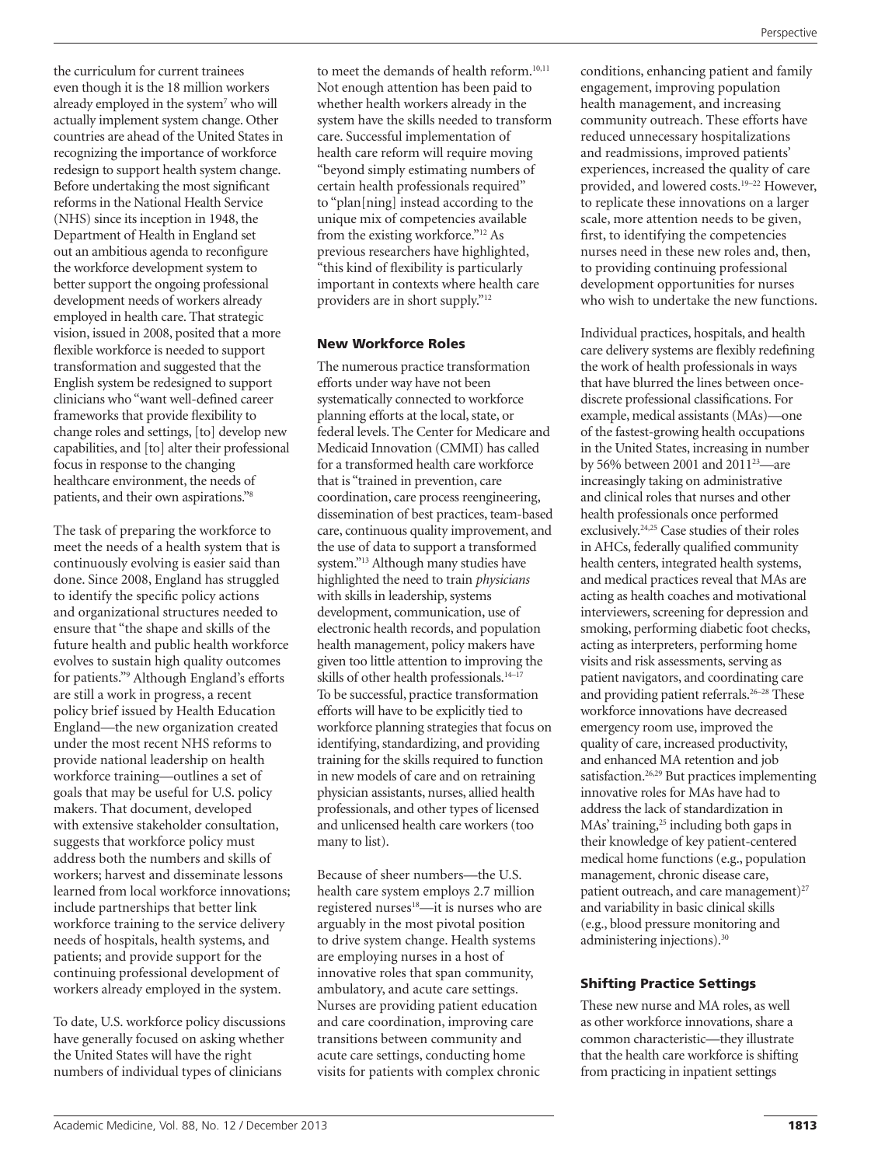the curriculum for current trainees even though it is the 18 million workers already employed in the system<sup>7</sup> who will actually implement system change. Other countries are ahead of the United States in recognizing the importance of workforce redesign to support health system change. Before undertaking the most significant reforms in the National Health Service (NHS) since its inception in 1948, the Department of Health in England set out an ambitious agenda to reconfigure the workforce development system to better support the ongoing professional development needs of workers already employed in health care. That strategic vision, issued in 2008, posited that a more flexible workforce is needed to support transformation and suggested that the English system be redesigned to support clinicians who "want well-defined career frameworks that provide flexibility to change roles and settings, [to] develop new capabilities, and [to] alter their professional focus in response to the changing healthcare environment, the needs of patients, and their own aspirations."8

The task of preparing the workforce to meet the needs of a health system that is continuously evolving is easier said than done. Since 2008, England has struggled to identify the specific policy actions and organizational structures needed to ensure that "the shape and skills of the future health and public health workforce evolves to sustain high quality outcomes for patients."9 Although England's efforts are still a work in progress, a recent policy brief issued by Health Education England—the new organization created under the most recent NHS reforms to provide national leadership on health workforce training—outlines a set of goals that may be useful for U.S. policy makers. That document, developed with extensive stakeholder consultation, suggests that workforce policy must address both the numbers and skills of workers; harvest and disseminate lessons learned from local workforce innovations; include partnerships that better link workforce training to the service delivery needs of hospitals, health systems, and patients; and provide support for the continuing professional development of workers already employed in the system.

To date, U.S. workforce policy discussions have generally focused on asking whether the United States will have the right numbers of individual types of clinicians

to meet the demands of health reform.<sup>10,11</sup> Not enough attention has been paid to whether health workers already in the system have the skills needed to transform care. Successful implementation of health care reform will require moving "beyond simply estimating numbers of certain health professionals required" to "plan[ning] instead according to the unique mix of competencies available from the existing workforce."12 As previous researchers have highlighted, "this kind of flexibility is particularly important in contexts where health care providers are in short supply."12

#### New Workforce Roles

The numerous practice transformation efforts under way have not been systematically connected to workforce planning efforts at the local, state, or federal levels. The Center for Medicare and Medicaid Innovation (CMMI) has called for a transformed health care workforce that is "trained in prevention, care coordination, care process reengineering, dissemination of best practices, team-based care, continuous quality improvement, and the use of data to support a transformed system."13 Although many studies have highlighted the need to train *physicians* with skills in leadership, systems development, communication, use of electronic health records, and population health management, policy makers have given too little attention to improving the skills of other health professionals.<sup>14-17</sup> To be successful, practice transformation efforts will have to be explicitly tied to workforce planning strategies that focus on identifying, standardizing, and providing training for the skills required to function in new models of care and on retraining physician assistants, nurses, allied health professionals, and other types of licensed and unlicensed health care workers (too many to list).

Because of sheer numbers—the U.S. health care system employs 2.7 million registered nurses<sup>18</sup>-it is nurses who are arguably in the most pivotal position to drive system change. Health systems are employing nurses in a host of innovative roles that span community, ambulatory, and acute care settings. Nurses are providing patient education and care coordination, improving care transitions between community and acute care settings, conducting home visits for patients with complex chronic

conditions, enhancing patient and family engagement, improving population health management, and increasing community outreach. These efforts have reduced unnecessary hospitalizations and readmissions, improved patients' experiences, increased the quality of care provided, and lowered costs.19–22 However, to replicate these innovations on a larger scale, more attention needs to be given, first, to identifying the competencies nurses need in these new roles and, then, to providing continuing professional development opportunities for nurses who wish to undertake the new functions.

Individual practices, hospitals, and health care delivery systems are flexibly redefining the work of health professionals in ways that have blurred the lines between oncediscrete professional classifications. For example, medical assistants (MAs)—one of the fastest-growing health occupations in the United States, increasing in number by 56% between 2001 and 201123—are increasingly taking on administrative and clinical roles that nurses and other health professionals once performed exclusively.24,25 Case studies of their roles in AHCs, federally qualified community health centers, integrated health systems, and medical practices reveal that MAs are acting as health coaches and motivational interviewers, screening for depression and smoking, performing diabetic foot checks, acting as interpreters, performing home visits and risk assessments, serving as patient navigators, and coordinating care and providing patient referrals.<sup>26-28</sup> These workforce innovations have decreased emergency room use, improved the quality of care, increased productivity, and enhanced MA retention and job satisfaction.26,29 But practices implementing innovative roles for MAs have had to address the lack of standardization in MAs' training,<sup>25</sup> including both gaps in their knowledge of key patient-centered medical home functions (e.g., population management, chronic disease care, patient outreach, and care management)<sup>27</sup> and variability in basic clinical skills (e.g., blood pressure monitoring and administering injections).30

#### Shifting Practice Settings

These new nurse and MA roles, as well as other workforce innovations, share a common characteristic—they illustrate that the health care workforce is shifting from practicing in inpatient settings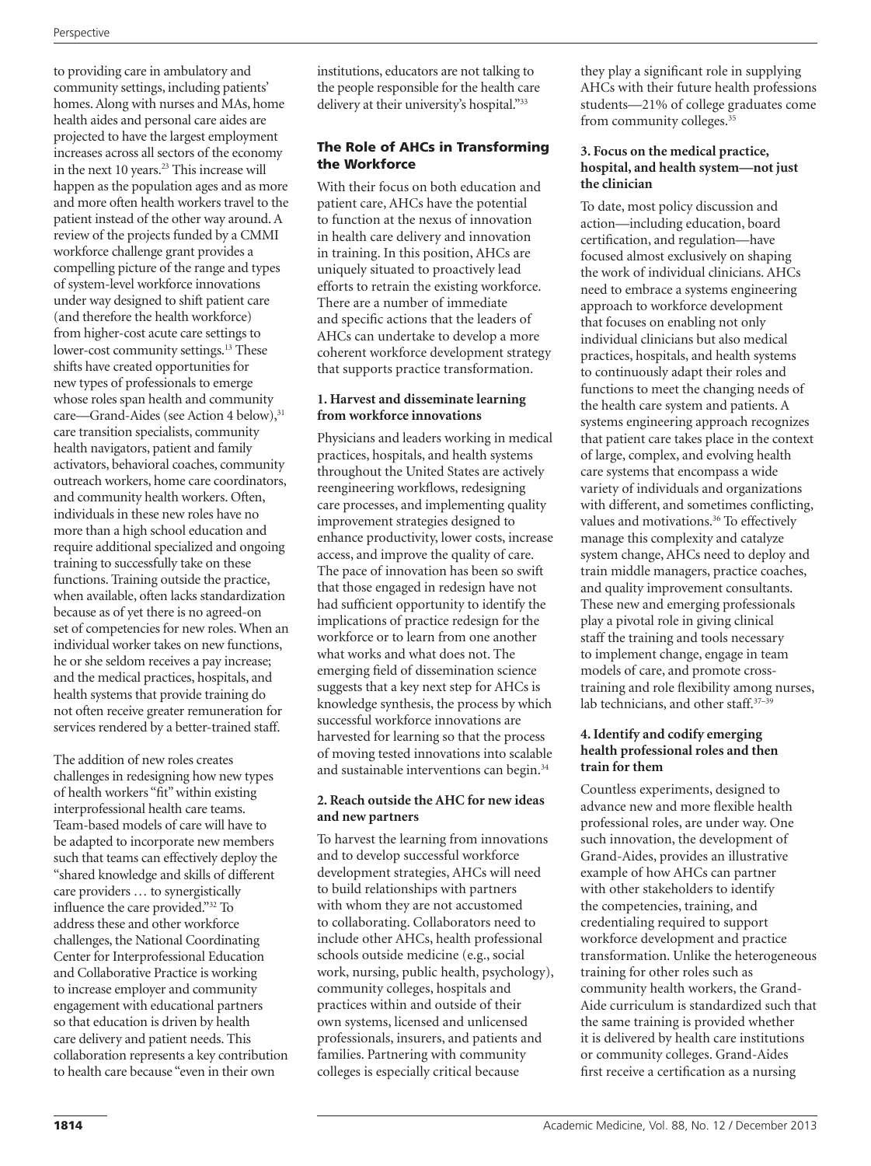to providing care in ambulatory and community settings, including patients' homes. Along with nurses and MAs, home health aides and personal care aides are projected to have the largest employment increases across all sectors of the economy in the next 10 years.<sup>23</sup> This increase will happen as the population ages and as more and more often health workers travel to the patient instead of the other way around. A review of the projects funded by a CMMI workforce challenge grant provides a compelling picture of the range and types of system-level workforce innovations under way designed to shift patient care (and therefore the health workforce) from higher-cost acute care settings to lower-cost community settings.<sup>13</sup> These shifts have created opportunities for new types of professionals to emerge whose roles span health and community care—Grand-Aides (see Action 4 below),<sup>31</sup> care transition specialists, community health navigators, patient and family activators, behavioral coaches, community outreach workers, home care coordinators, and community health workers. Often, individuals in these new roles have no more than a high school education and require additional specialized and ongoing training to successfully take on these functions. Training outside the practice, when available, often lacks standardization because as of yet there is no agreed-on set of competencies for new roles. When an individual worker takes on new functions, he or she seldom receives a pay increase; and the medical practices, hospitals, and health systems that provide training do not often receive greater remuneration for services rendered by a better-trained staff.

The addition of new roles creates challenges in redesigning how new types of health workers "fit" within existing interprofessional health care teams. Team-based models of care will have to be adapted to incorporate new members such that teams can effectively deploy the "shared knowledge and skills of different care providers … to synergistically influence the care provided."32 To address these and other workforce challenges, the National Coordinating Center for Interprofessional Education and Collaborative Practice is working to increase employer and community engagement with educational partners so that education is driven by health care delivery and patient needs. This collaboration represents a key contribution to health care because "even in their own

institutions, educators are not talking to the people responsible for the health care delivery at their university's hospital."33

# The Role of AHCs in Transforming the Workforce

With their focus on both education and patient care, AHCs have the potential to function at the nexus of innovation in health care delivery and innovation in training. In this position, AHCs are uniquely situated to proactively lead efforts to retrain the existing workforce. There are a number of immediate and specific actions that the leaders of AHCs can undertake to develop a more coherent workforce development strategy that supports practice transformation.

### **1. Harvest and disseminate learning from workforce innovations**

Physicians and leaders working in medical practices, hospitals, and health systems throughout the United States are actively reengineering workflows, redesigning care processes, and implementing quality improvement strategies designed to enhance productivity, lower costs, increase access, and improve the quality of care. The pace of innovation has been so swift that those engaged in redesign have not had sufficient opportunity to identify the implications of practice redesign for the workforce or to learn from one another what works and what does not. The emerging field of dissemination science suggests that a key next step for AHCs is knowledge synthesis, the process by which successful workforce innovations are harvested for learning so that the process of moving tested innovations into scalable and sustainable interventions can begin.<sup>34</sup>

# **2. Reach outside the AHC for new ideas and new partners**

To harvest the learning from innovations and to develop successful workforce development strategies, AHCs will need to build relationships with partners with whom they are not accustomed to collaborating. Collaborators need to include other AHCs, health professional schools outside medicine (e.g., social work, nursing, public health, psychology), community colleges, hospitals and practices within and outside of their own systems, licensed and unlicensed professionals, insurers, and patients and families. Partnering with community colleges is especially critical because

they play a significant role in supplying AHCs with their future health professions students—21% of college graduates come from community colleges.35

#### **3. Focus on the medical practice, hospital, and health system—not just the clinician**

To date, most policy discussion and action—including education, board certification, and regulation—have focused almost exclusively on shaping the work of individual clinicians. AHCs need to embrace a systems engineering approach to workforce development that focuses on enabling not only individual clinicians but also medical practices, hospitals, and health systems to continuously adapt their roles and functions to meet the changing needs of the health care system and patients. A systems engineering approach recognizes that patient care takes place in the context of large, complex, and evolving health care systems that encompass a wide variety of individuals and organizations with different, and sometimes conflicting, values and motivations.<sup>36</sup> To effectively manage this complexity and catalyze system change, AHCs need to deploy and train middle managers, practice coaches, and quality improvement consultants. These new and emerging professionals play a pivotal role in giving clinical staff the training and tools necessary to implement change, engage in team models of care, and promote crosstraining and role flexibility among nurses, lab technicians, and other staff.<sup>37-39</sup>

### **4. Identify and codify emerging health professional roles and then train for them**

Countless experiments, designed to advance new and more flexible health professional roles, are under way. One such innovation, the development of Grand-Aides, provides an illustrative example of how AHCs can partner with other stakeholders to identify the competencies, training, and credentialing required to support workforce development and practice transformation. Unlike the heterogeneous training for other roles such as community health workers, the Grand-Aide curriculum is standardized such that the same training is provided whether it is delivered by health care institutions or community colleges. Grand-Aides first receive a certification as a nursing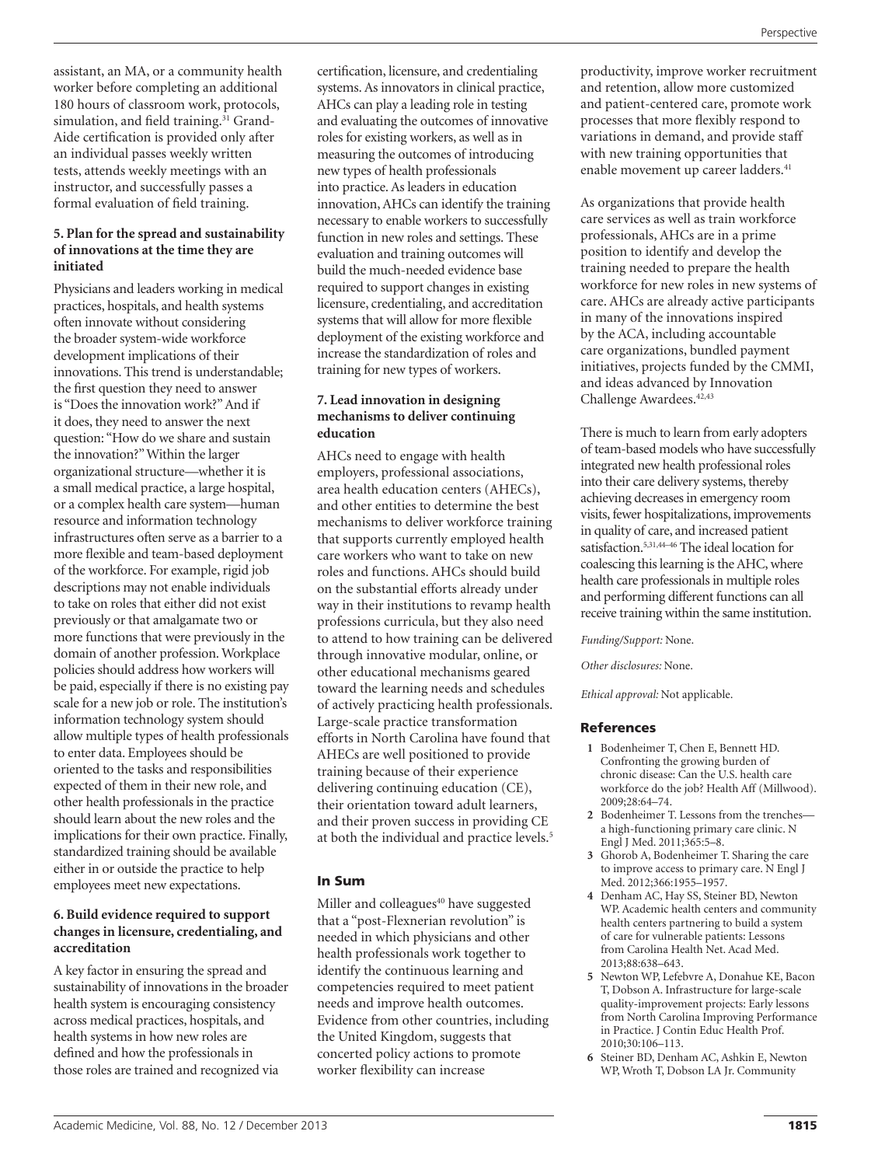assistant, an MA, or a community health worker before completing an additional 180 hours of classroom work, protocols, simulation, and field training.<sup>31</sup> Grand-Aide certification is provided only after an individual passes weekly written tests, attends weekly meetings with an instructor, and successfully passes a formal evaluation of field training.

#### **5. Plan for the spread and sustainability of innovations at the time they are initiated**

Physicians and leaders working in medical practices, hospitals, and health systems often innovate without considering the broader system-wide workforce development implications of their innovations. This trend is understandable; the first question they need to answer is "Does the innovation work?" And if it does, they need to answer the next question: "How do we share and sustain the innovation?" Within the larger organizational structure—whether it is a small medical practice, a large hospital, or a complex health care system—human resource and information technology infrastructures often serve as a barrier to a more flexible and team-based deployment of the workforce. For example, rigid job descriptions may not enable individuals to take on roles that either did not exist previously or that amalgamate two or more functions that were previously in the domain of another profession. Workplace policies should address how workers will be paid, especially if there is no existing pay scale for a new job or role. The institution's information technology system should allow multiple types of health professionals to enter data. Employees should be oriented to the tasks and responsibilities expected of them in their new role, and other health professionals in the practice should learn about the new roles and the implications for their own practice. Finally, standardized training should be available either in or outside the practice to help employees meet new expectations.

#### **6. Build evidence required to support changes in licensure, credentialing, and accreditation**

A key factor in ensuring the spread and sustainability of innovations in the broader health system is encouraging consistency across medical practices, hospitals, and health systems in how new roles are defined and how the professionals in those roles are trained and recognized via

certification, licensure, and credentialing systems. As innovators in clinical practice, AHCs can play a leading role in testing and evaluating the outcomes of innovative roles for existing workers, as well as in measuring the outcomes of introducing new types of health professionals into practice. As leaders in education innovation, AHCs can identify the training necessary to enable workers to successfully function in new roles and settings. These evaluation and training outcomes will build the much-needed evidence base required to support changes in existing licensure, credentialing, and accreditation systems that will allow for more flexible deployment of the existing workforce and increase the standardization of roles and training for new types of workers.

# **7. Lead innovation in designing mechanisms to deliver continuing education**

AHCs need to engage with health employers, professional associations, area health education centers (AHECs), and other entities to determine the best mechanisms to deliver workforce training that supports currently employed health care workers who want to take on new roles and functions. AHCs should build on the substantial efforts already under way in their institutions to revamp health professions curricula, but they also need to attend to how training can be delivered through innovative modular, online, or other educational mechanisms geared toward the learning needs and schedules of actively practicing health professionals. Large-scale practice transformation efforts in North Carolina have found that AHECs are well positioned to provide training because of their experience delivering continuing education (CE), their orientation toward adult learners, and their proven success in providing CE at both the individual and practice levels.<sup>5</sup>

# In Sum

Miller and colleagues<sup>40</sup> have suggested that a "post-Flexnerian revolution" is needed in which physicians and other health professionals work together to identify the continuous learning and competencies required to meet patient needs and improve health outcomes. Evidence from other countries, including the United Kingdom, suggests that concerted policy actions to promote worker flexibility can increase

productivity, improve worker recruitment and retention, allow more customized and patient-centered care, promote work processes that more flexibly respond to variations in demand, and provide staff with new training opportunities that enable movement up career ladders.<sup>41</sup>

As organizations that provide health care services as well as train workforce professionals, AHCs are in a prime position to identify and develop the training needed to prepare the health workforce for new roles in new systems of care. AHCs are already active participants in many of the innovations inspired by the ACA, including accountable care organizations, bundled payment initiatives, projects funded by the CMMI, and ideas advanced by Innovation Challenge Awardees.<sup>42,43</sup>

There is much to learn from early adopters of team-based models who have successfully integrated new health professional roles into their care delivery systems, thereby achieving decreases in emergency room visits, fewer hospitalizations, improvements in quality of care, and increased patient satisfaction.5,31,44–46 The ideal location for coalescing this learning is the AHC, where health care professionals in multiple roles and performing different functions can all receive training within the same institution.

*Funding/Support:* None.

*Other disclosures:* None.

*Ethical approval:* Not applicable.

#### References

- **1** Bodenheimer T, Chen E, Bennett HD. Confronting the growing burden of chronic disease: Can the U.S. health care workforce do the job? Health Aff (Millwood). 2009;28:64–74.
- **2** Bodenheimer T. Lessons from the trenches a high-functioning primary care clinic. N Engl J Med. 2011;365:5–8.
- **3** Ghorob A, Bodenheimer T. Sharing the care to improve access to primary care. N Engl J Med. 2012;366:1955–1957.
- **4** Denham AC, Hay SS, Steiner BD, Newton WP. Academic health centers and community health centers partnering to build a system of care for vulnerable patients: Lessons from Carolina Health Net. Acad Med. 2013;88:638–643.
- **5** Newton WP, Lefebvre A, Donahue KE, Bacon T, Dobson A. Infrastructure for large-scale quality-improvement projects: Early lessons from North Carolina Improving Performance in Practice. J Contin Educ Health Prof. 2010;30:106–113.
- **6** Steiner BD, Denham AC, Ashkin E, Newton WP, Wroth T, Dobson LA Jr. Community